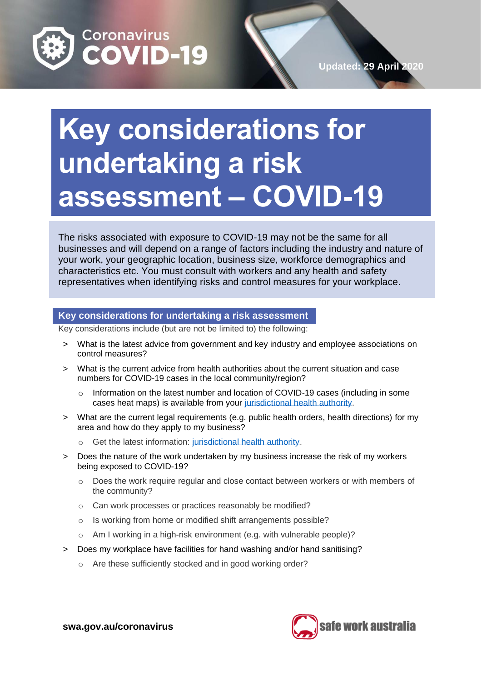

## **Key considerations for undertaking a risk assessment – COVID-19**

The risks associated with exposure to COVID-19 may not be the same for all businesses and will depend on a range of factors including the industry and nature of your work, your geographic location, business size, workforce demographics and characteristics etc. You must consult with workers and any health and safety representatives when identifying risks and control measures for your workplace.

## **Key considerations for undertaking a risk assessment**

Key considerations include (but are not be limited to) the following:

- > What is the latest advice from government and key industry and employee associations on control measures?
- > What is the current advice from health authorities about the current situation and case numbers for COVID-19 cases in the local community/region?
	- $\circ$  Information on the latest number and location of COVID-19 cases (including in some cases heat maps) is available from your [jurisdictional health authority.](https://www.health.gov.au/about-us/contact-us/local-state-and-territory-health-departments)
- > What are the current legal requirements (e.g. public health orders, health directions) for my area and how do they apply to my business?
	- o Get the latest information: [jurisdictional health authority.](https://www.health.gov.au/about-us/contact-us/local-state-and-territory-health-departments)
- > Does the nature of the work undertaken by my business increase the risk of my workers being exposed to COVID-19?
	- $\circ$  Does the work require regular and close contact between workers or with members of the community?
	- o Can work processes or practices reasonably be modified?
	- o Is working from home or modified shift arrangements possible?
	- o Am I working in a high-risk environment (e.g. with vulnerable people)?
- > Does my workplace have facilities for hand washing and/or hand sanitising?
	- o Are these sufficiently stocked and in good working order?



**swa.gov.au/coronavirus**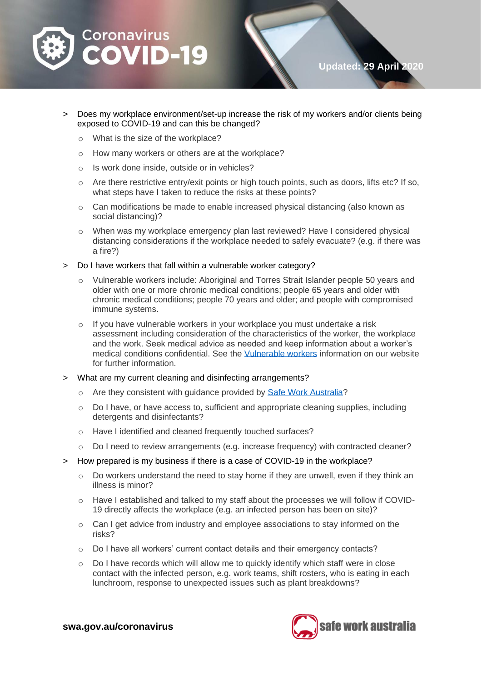

> Does my workplace environment/set-up increase the risk of my workers and/or clients being

**Updated: 29 April 2020**

- o What is the size of the workplace?
- o How many workers or others are at the workplace?
- o Is work done inside, outside or in vehicles?

exposed to COVID-19 and can this be changed?

- $\circ$  Are there restrictive entry/exit points or high touch points, such as doors, lifts etc? If so, what steps have I taken to reduce the risks at these points?
- o Can modifications be made to enable increased physical distancing (also known as social distancing)?
- o When was my workplace emergency plan last reviewed? Have I considered physical distancing considerations if the workplace needed to safely evacuate? (e.g. if there was a fire?)
- > Do I have workers that fall within a vulnerable worker category?
	- Vulnerable workers include: Aboriginal and Torres Strait Islander people 50 years and older with one or more chronic medical conditions; people 65 years and older with chronic medical conditions; people 70 years and older; and people with compromised immune systems.
	- $\circ$  If you have vulnerable workers in your workplace you must undertake a risk assessment including consideration of the characteristics of the worker, the workplace and the work. Seek medical advice as needed and keep information about a worker's medical conditions confidential. See the [Vulnerable workers](https://www.safeworkaustralia.gov.au/covid-19-information-workplaces/industry-information/general-industry-information/vulnerable) information on our website for further information.
- > What are my current cleaning and disinfecting arrangements?
	- o Are they consistent with guidance provided by [Safe Work Australia?](https://www.safeworkaustralia.gov.au/covid-19-information-workplaces/cleaning-prevent-spread-covid-19)
	- $\circ$  Do I have, or have access to, sufficient and appropriate cleaning supplies, including detergents and disinfectants?
	- o Have I identified and cleaned frequently touched surfaces?
	- o Do I need to review arrangements (e.g. increase frequency) with contracted cleaner?
- > How prepared is my business if there is a case of COVID-19 in the workplace?
	- $\circ$  Do workers understand the need to stay home if they are unwell, even if they think an illness is minor?
	- $\circ$  Have I established and talked to my staff about the processes we will follow if COVID-19 directly affects the workplace (e.g. an infected person has been on site)?
	- $\circ$  Can I get advice from industry and employee associations to stay informed on the risks?
	- o Do I have all workers' current contact details and their emergency contacts?
	- $\circ$  Do I have records which will allow me to quickly identify which staff were in close contact with the infected person, e.g. work teams, shift rosters, who is eating in each lunchroom, response to unexpected issues such as plant breakdowns?



**swa.gov.au/coronavirus**